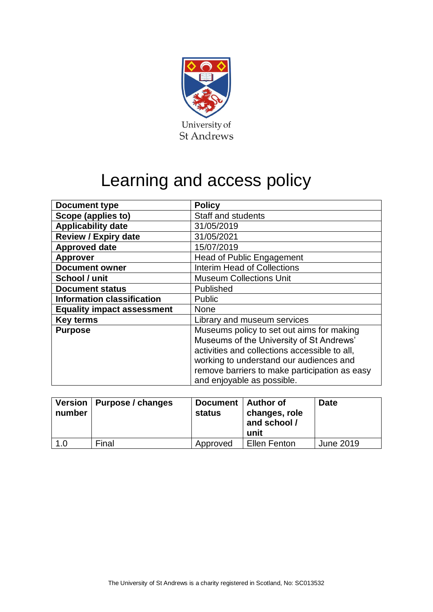

## Learning and access policy

| <b>Document type</b>              | <b>Policy</b>                                                                         |  |  |  |
|-----------------------------------|---------------------------------------------------------------------------------------|--|--|--|
| Scope (applies to)                | Staff and students                                                                    |  |  |  |
| <b>Applicability date</b>         | 31/05/2019                                                                            |  |  |  |
| <b>Review / Expiry date</b>       | 31/05/2021                                                                            |  |  |  |
| <b>Approved date</b>              | 15/07/2019                                                                            |  |  |  |
| <b>Approver</b>                   | <b>Head of Public Engagement</b>                                                      |  |  |  |
| <b>Document owner</b>             | <b>Interim Head of Collections</b>                                                    |  |  |  |
| School / unit                     | <b>Museum Collections Unit</b>                                                        |  |  |  |
| <b>Document status</b>            | Published                                                                             |  |  |  |
| <b>Information classification</b> | <b>Public</b>                                                                         |  |  |  |
| <b>Equality impact assessment</b> | <b>None</b>                                                                           |  |  |  |
| <b>Key terms</b>                  | Library and museum services                                                           |  |  |  |
| <b>Purpose</b>                    | Museums policy to set out aims for making<br>Museums of the University of St Andrews' |  |  |  |
|                                   | activities and collections accessible to all,                                         |  |  |  |
|                                   | working to understand our audiences and                                               |  |  |  |
|                                   | remove barriers to make participation as easy                                         |  |  |  |
|                                   | and enjoyable as possible.                                                            |  |  |  |

| number | Version   Purpose / changes | Document   Author of<br>status | changes, role<br>and school /<br>unit | <b>Date</b> |
|--------|-----------------------------|--------------------------------|---------------------------------------|-------------|
| 1.0    | Final                       | Approved                       | Ellen Fenton                          | June 2019   |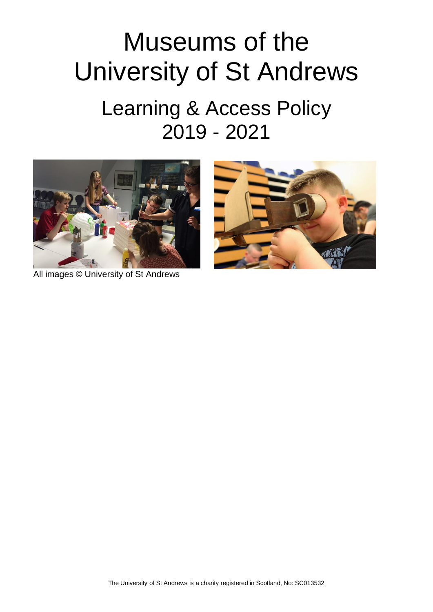# Museums of the University of St Andrews

## Learning & Access Policy 2019 - 2021





All images © University of St Andrews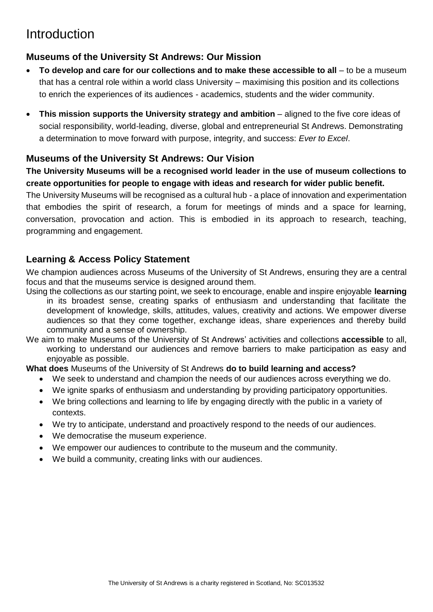### **Introduction**

#### **Museums of the University St Andrews: Our Mission**

- To develop and care for our collections and to make these accessible to all to be a museum that has a central role within a world class University – maximising this position and its collections to enrich the experiences of its audiences - academics, students and the wider community.
- **This mission supports the University strategy and ambition** aligned to the five core ideas of social responsibility, world-leading, diverse, global and entrepreneurial St Andrews. Demonstrating a determination to move forward with purpose, integrity, and success: *Ever to Excel*.

#### **Museums of the University St Andrews: Our Vision**

**The University Museums will be a recognised world leader in the use of museum collections to create opportunities for people to engage with ideas and research for wider public benefit.**

The University Museums will be recognised as a cultural hub - a place of innovation and experimentation that embodies the spirit of research, a forum for meetings of minds and a space for learning, conversation, provocation and action. This is embodied in its approach to research, teaching, programming and engagement.

#### **Learning & Access Policy Statement**

We champion audiences across Museums of the University of St Andrews, ensuring they are a central focus and that the museums service is designed around them.

- Using the collections as our starting point, we seek to encourage, enable and inspire enjoyable **learning** in its broadest sense, creating sparks of enthusiasm and understanding that facilitate the development of knowledge, skills, attitudes, values, creativity and actions. We empower diverse audiences so that they come together, exchange ideas, share experiences and thereby build community and a sense of ownership.
- We aim to make Museums of the University of St Andrews' activities and collections **accessible** to all, working to understand our audiences and remove barriers to make participation as easy and enjoyable as possible.

**What does** Museums of the University of St Andrews **do to build learning and access?**

- We seek to understand and champion the needs of our audiences across everything we do.
- We ignite sparks of enthusiasm and understanding by providing participatory opportunities.
- We bring collections and learning to life by engaging directly with the public in a variety of contexts.
- We try to anticipate, understand and proactively respond to the needs of our audiences.
- We democratise the museum experience.
- We empower our audiences to contribute to the museum and the community.
- We build a community, creating links with our audiences.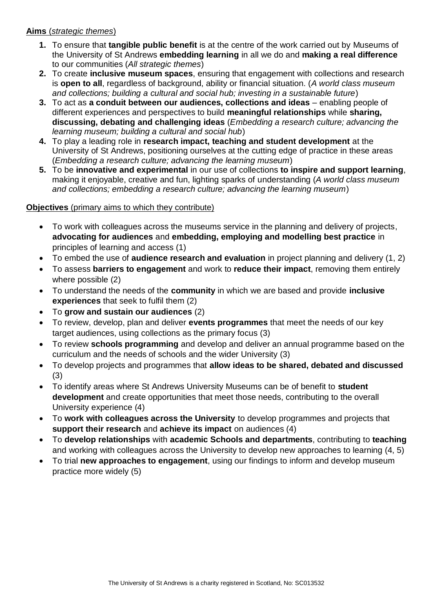#### **Aims** (*strategic themes*)

- **1.** To ensure that **tangible public benefit** is at the centre of the work carried out by Museums of the University of St Andrews **embedding learning** in all we do and **making a real difference** to our communities (*All strategic themes*)
- **2.** To create **inclusive museum spaces**, ensuring that engagement with collections and research is **open to all**, regardless of background, ability or financial situation. (*A world class museum and collections; building a cultural and social hub; investing in a sustainable future*)
- **3.** To act as **a conduit between our audiences, collections and ideas** enabling people of different experiences and perspectives to build **meaningful relationships** while **sharing, discussing, debating and challenging ideas** (*Embedding a research culture; advancing the learning museum; building a cultural and social hub*)
- **4.** To play a leading role in **research impact, teaching and student development** at the University of St Andrews, positioning ourselves at the cutting edge of practice in these areas (*Embedding a research culture; advancing the learning museum*)
- **5.** To be **innovative and experimental** in our use of collections **to inspire and support learning**, making it enjoyable, creative and fun, lighting sparks of understanding (*A world class museum and collections; embedding a research culture; advancing the learning museum*)

#### **Objectives** (primary aims to which they contribute)

- To work with colleagues across the museums service in the planning and delivery of projects, **advocating for audiences** and **embedding, employing and modelling best practice** in principles of learning and access (1)
- To embed the use of **audience research and evaluation** in project planning and delivery (1, 2)
- To assess **barriers to engagement** and work to **reduce their impact**, removing them entirely where possible (2)
- To understand the needs of the **community** in which we are based and provide **inclusive experiences** that seek to fulfil them (2)
- To **grow and sustain our audiences** (2)
- To review, develop, plan and deliver **events programmes** that meet the needs of our key target audiences, using collections as the primary focus (3)
- To review **schools programming** and develop and deliver an annual programme based on the curriculum and the needs of schools and the wider University (3)
- To develop projects and programmes that **allow ideas to be shared, debated and discussed** (3)
- To identify areas where St Andrews University Museums can be of benefit to **student development** and create opportunities that meet those needs, contributing to the overall University experience (4)
- To **work with colleagues across the University** to develop programmes and projects that **support their research** and **achieve its impact** on audiences (4)
- To **develop relationships** with **academic Schools and departments**, contributing to **teaching** and working with colleagues across the University to develop new approaches to learning (4, 5)
- To trial **new approaches to engagement**, using our findings to inform and develop museum practice more widely (5)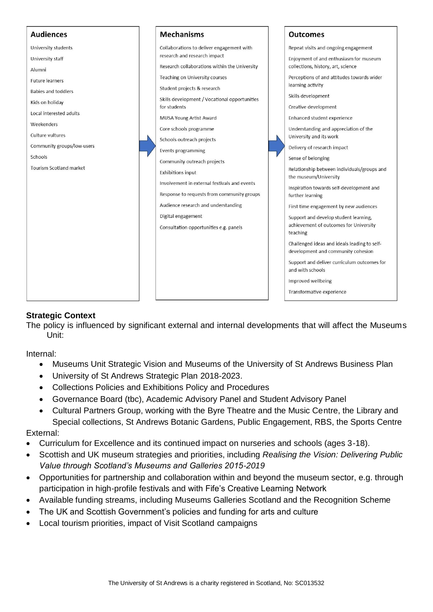

#### **Strategic Context**

The policy is influenced by significant external and internal developments that will affect the Museums Unit:

Internal:

- Museums Unit Strategic Vision and Museums of the University of St Andrews Business Plan
- University of St Andrews Strategic Plan 2018-2023.
- Collections Policies and Exhibitions Policy and Procedures
- Governance Board (tbc), Academic Advisory Panel and Student Advisory Panel
- Cultural Partners Group, working with the Byre Theatre and the Music Centre, the Library and Special collections, St Andrews Botanic Gardens, Public Engagement, RBS, the Sports Centre

External:

- Curriculum for Excellence and its continued impact on nurseries and schools (ages 3-18).
- Scottish and UK museum strategies and priorities, including *Realising the Vision: Delivering Public Value through Scotland's Museums and Galleries 2015-2019*
- Opportunities for partnership and collaboration within and beyond the museum sector, e.g. through participation in high-profile festivals and with Fife's Creative Learning Network
- Available funding streams, including Museums Galleries Scotland and the Recognition Scheme
- The UK and Scottish Government's policies and funding for arts and culture
- Local tourism priorities, impact of Visit Scotland campaigns